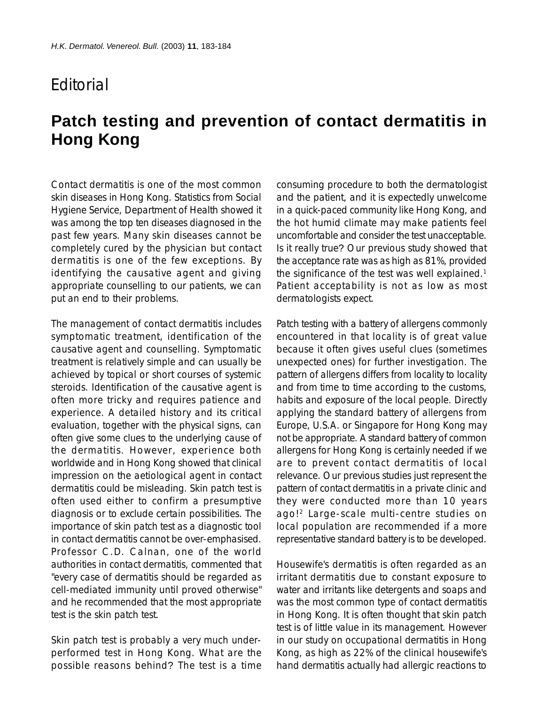## **F**ditorial

## **Patch testing and prevention of contact dermatitis in Hong Kong**

Contact dermatitis is one of the most common skin diseases in Hong Kong. Statistics from Social Hygiene Service, Department of Health showed it was among the top ten diseases diagnosed in the past few years. Many skin diseases cannot be completely cured by the physician but contact dermatitis is one of the few exceptions. By identifying the causative agent and giving appropriate counselling to our patients, we can put an end to their problems.

The management of contact dermatitis includes symptomatic treatment, identification of the causative agent and counselling. Symptomatic treatment is relatively simple and can usually be achieved by topical or short courses of systemic steroids. Identification of the causative agent is often more tricky and requires patience and experience. A detailed history and its critical evaluation, together with the physical signs, can often give some clues to the underlying cause of the dermatitis. However, experience both worldwide and in Hong Kong showed that clinical impression on the aetiological agent in contact dermatitis could be misleading. Skin patch test is often used either to confirm a presumptive diagnosis or to exclude certain possibilities. The importance of skin patch test as a diagnostic tool in contact dermatitis cannot be over-emphasised. Professor C.D. Calnan, one of the world authorities in contact dermatitis, commented that "every case of dermatitis should be regarded as cell-mediated immunity until proved otherwise" and he recommended that the most appropriate test is the skin patch test.

Skin patch test is probably a very much underperformed test in Hong Kong. What are the possible reasons behind? The test is a time consuming procedure to both the dermatologist and the patient, and it is expectedly unwelcome in a quick-paced community like Hong Kong, and the hot humid climate may make patients feel uncomfortable and consider the test unacceptable. Is it really true? Our previous study showed that the acceptance rate was as high as 81%, provided the significance of the test was well explained.<sup>1</sup> Patient acceptability is not as low as most dermatologists expect.

Patch testing with a battery of allergens commonly encountered in that locality is of great value because it often gives useful clues (sometimes unexpected ones) for further investigation. The pattern of allergens differs from locality to locality and from time to time according to the customs, habits and exposure of the local people. Directly applying the standard battery of allergens from Europe, U.S.A. or Singapore for Hong Kong may not be appropriate. A standard battery of common allergens for Hong Kong is certainly needed if we are to prevent contact dermatitis of local relevance. Our previous studies just represent the pattern of contact dermatitis in a private clinic and they were conducted more than 10 years ago!2 Large-scale multi-centre studies on local population are recommended if a more representative standard battery is to be developed.

Housewife's dermatitis is often regarded as an irritant dermatitis due to constant exposure to water and irritants like detergents and soaps and was the most common type of contact dermatitis in Hong Kong. It is often thought that skin patch test is of little value in its management. However in our study on occupational dermatitis in Hong Kong, as high as 22% of the clinical housewife's hand dermatitis actually had allergic reactions to